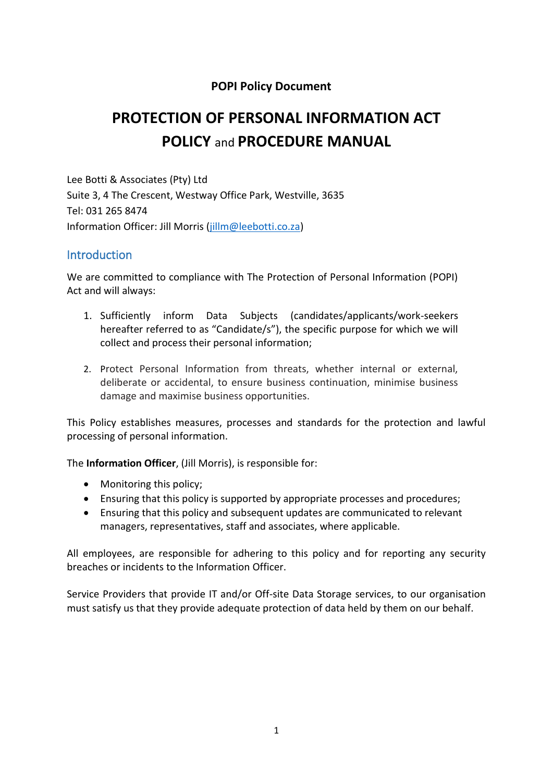#### **POPI Policy Document**

# **PROTECTION OF PERSONAL INFORMATION ACT POLICY** and **PROCEDURE MANUAL**

Lee Botti & Associates (Pty) Ltd Suite 3, 4 The Crescent, Westway Office Park, Westville, 3635 Tel: 031 265 8474 Information Officer: Jill Morris [\(jillm@leebotti.co.za\)](mailto:jillm@leebotti.co.za)

#### **Introduction**

We are committed to compliance with The Protection of Personal Information (POPI) Act and will always:

- 1. Sufficiently inform Data Subjects (candidates/applicants/work-seekers hereafter referred to as "Candidate/s"), the specific purpose for which we will collect and process their personal information;
- 2. Protect Personal Information from threats, whether internal or external, deliberate or accidental, to ensure business continuation, minimise business damage and maximise business opportunities.

This Policy establishes measures, processes and standards for the protection and lawful processing of personal information.

The **Information Officer**, (Jill Morris), is responsible for:

- Monitoring this policy;
- Ensuring that this policy is supported by appropriate processes and procedures;
- Ensuring that this policy and subsequent updates are communicated to relevant managers, representatives, staff and associates, where applicable.

All employees, are responsible for adhering to this policy and for reporting any security breaches or incidents to the Information Officer.

Service Providers that provide IT and/or Off-site Data Storage services, to our organisation must satisfy us that they provide adequate protection of data held by them on our behalf.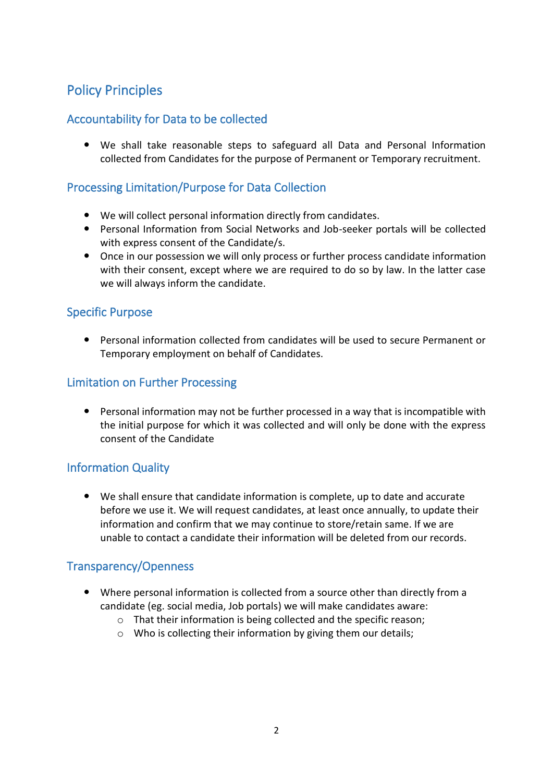# Policy Principles

# Accountability for Data to be collected

 We shall take reasonable steps to safeguard all Data and Personal Information collected from Candidates for the purpose of Permanent or Temporary recruitment.

## Processing Limitation/Purpose for Data Collection

- We will collect personal information directly from candidates.
- Personal Information from Social Networks and Job-seeker portals will be collected with express consent of the Candidate/s.
- Once in our possession we will only process or further process candidate information with their consent, except where we are required to do so by law. In the latter case we will always inform the candidate.

#### Specific Purpose

 Personal information collected from candidates will be used to secure Permanent or Temporary employment on behalf of Candidates.

### Limitation on Further Processing

 Personal information may not be further processed in a way that is incompatible with the initial purpose for which it was collected and will only be done with the express consent of the Candidate

### Information Quality

 We shall ensure that candidate information is complete, up to date and accurate before we use it. We will request candidates, at least once annually, to update their information and confirm that we may continue to store/retain same. If we are unable to contact a candidate their information will be deleted from our records.

#### Transparency/Openness

- Where personal information is collected from a source other than directly from a candidate (eg. social media, Job portals) we will make candidates aware:
	- o That their information is being collected and the specific reason;
	- o Who is collecting their information by giving them our details;